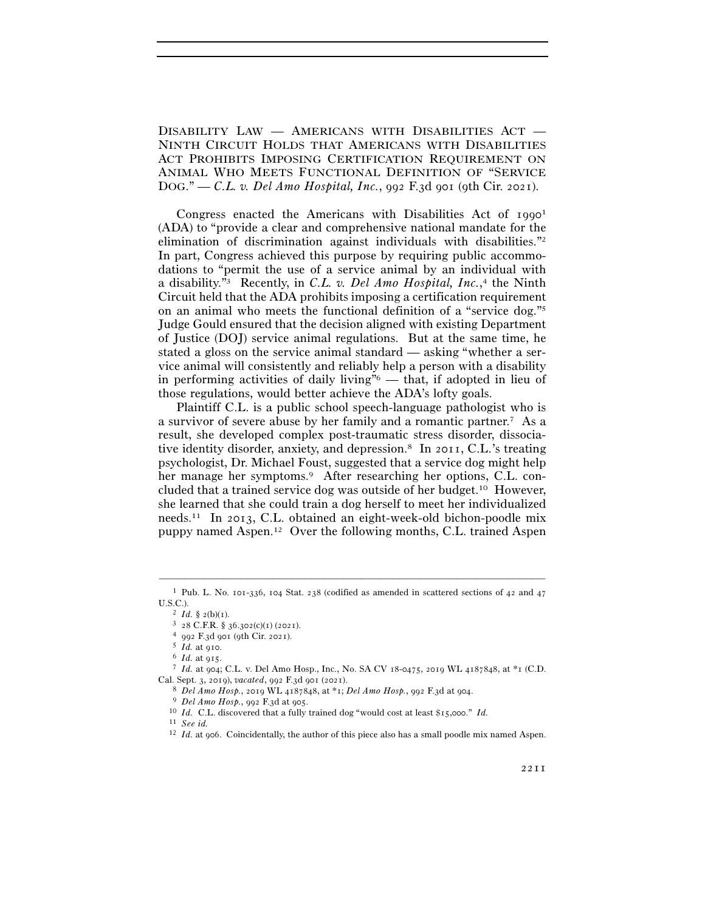DISABILITY LAW — AMERICANS WITH DISABILITIES ACT — NINTH CIRCUIT HOLDS THAT AMERICANS WITH DISABILITIES ACT PROHIBITS IMPOSING CERTIFICATION REQUIREMENT ON ANIMAL WHO MEETS FUNCTIONAL DEFINITION OF "SERVICE DOG." — *C.L. v. Del Amo Hospital, Inc.*, 992 F.3d 901 (9th Cir. 2021).

Congress enacted the Americans with Disabilities Act of 1990<sup>1</sup> (ADA) to "provide a clear and comprehensive national mandate for the elimination of discrimination against individuals with disabilities."2 In part, Congress achieved this purpose by requiring public accommodations to "permit the use of a service animal by an individual with a disability."3 Recently, in *C.L. v. Del Amo Hospital, Inc.*, 4 the Ninth Circuit held that the ADA prohibits imposing a certification requirement on an animal who meets the functional definition of a "service dog."5 Judge Gould ensured that the decision aligned with existing Department of Justice (DOJ) service animal regulations. But at the same time, he stated a gloss on the service animal standard — asking "whether a service animal will consistently and reliably help a person with a disability in performing activities of daily living" $\delta$  — that, if adopted in lieu of those regulations, would better achieve the ADA's lofty goals.

Plaintiff C.L. is a public school speech-language pathologist who is a survivor of severe abuse by her family and a romantic partner.7 As a result, she developed complex post-traumatic stress disorder, dissociative identity disorder, anxiety, and depression.8 In 2011, C.L.'s treating psychologist, Dr. Michael Foust, suggested that a service dog might help her manage her symptoms.9 After researching her options, C.L. concluded that a trained service dog was outside of her budget.10 However, she learned that she could train a dog herself to meet her individualized needs.11 In 2013, C.L. obtained an eight-week-old bichon-poodle mix puppy named Aspen.12 Over the following months, C.L. trained Aspen

<sup>–––––––––––––––––––––––––––––––––––––––––––––––––––––––––––––</sup> <sup>1</sup> Pub. L. No. 101-336, 104 Stat. 238 (codified as amended in scattered sections of 42 and 47 U.S.C.).<br>
<sup>2</sup> Id. § 2(b)(1).<br>
<sup>3</sup> 28 C.F.R. § 36.302(c)(1) (2021).<br>
<sup>4</sup> 992 F.3d 901 (9th Cir. 2021).<br>
<sup>5</sup> Id. at 915.<br>
<sup>6</sup> Id. at 915.<br>
<sup>7</sup> Id. at 904; C.L. v. Del Amo Hosp., Inc., No. SA CV 18-0475, 2019 WL 4187848, at \*

Cal. Sept. 3, 2019), vacated, 992 F.3d 901 (2021).<br>
<sup>8</sup> *Del Amo Hosp.*, 2019 WL 4187848, at \*1; *Del Amo Hosp.*, 992 F.3d at 904.<br>
<sup>9</sup> *Del Amo Hosp.*, 992 F.3d at 905.<br>
<sup>10</sup> *Id.* C.L. discovered that a fully trained do

<sup>11</sup> *See id.* 12 *Id.* at 906. Coincidentally, the author of this piece also has a small poodle mix named Aspen.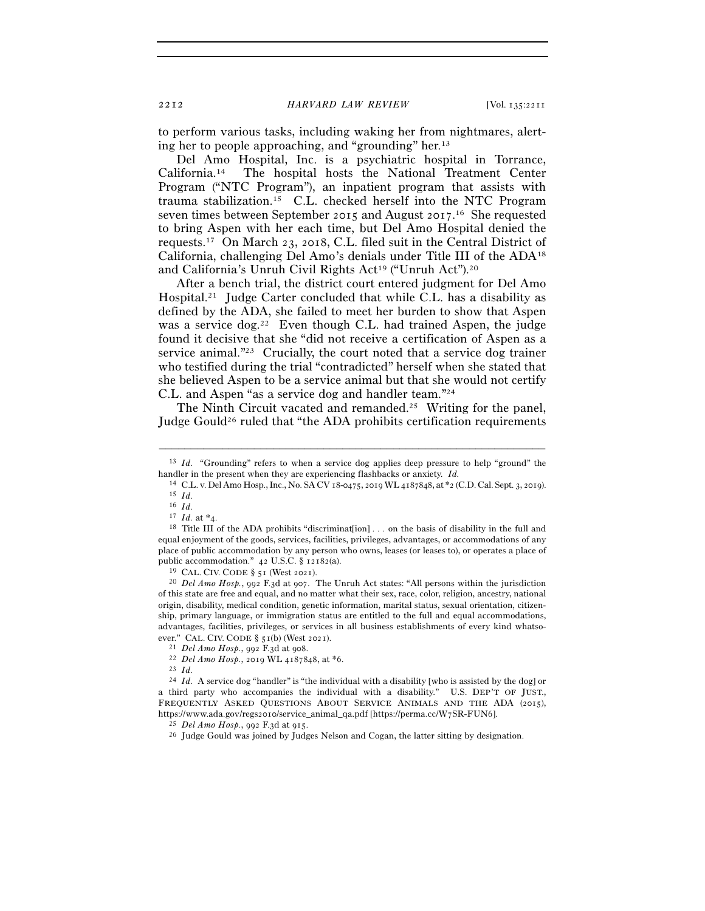to perform various tasks, including waking her from nightmares, alerting her to people approaching, and "grounding" her.13

Del Amo Hospital, Inc. is a psychiatric hospital in Torrance, California.14 The hospital hosts the National Treatment Center Program ("NTC Program"), an inpatient program that assists with trauma stabilization.15 C.L. checked herself into the NTC Program seven times between September 2015 and August 2017.<sup>16</sup> She requested to bring Aspen with her each time, but Del Amo Hospital denied the requests.17 On March 23, 2018, C.L. filed suit in the Central District of California, challenging Del Amo's denials under Title III of the ADA18 and California's Unruh Civil Rights Act<sup>19</sup> ("Unruh Act").<sup>20</sup>

After a bench trial, the district court entered judgment for Del Amo Hospital.21 Judge Carter concluded that while C.L. has a disability as defined by the ADA, she failed to meet her burden to show that Aspen was a service  $\log^{22}$  Even though C.L. had trained Aspen, the judge found it decisive that she "did not receive a certification of Aspen as a service animal."23 Crucially, the court noted that a service dog trainer who testified during the trial "contradicted" herself when she stated that she believed Aspen to be a service animal but that she would not certify C.L. and Aspen "as a service dog and handler team."24

The Ninth Circuit vacated and remanded.<sup>25</sup> Writing for the panel, Judge Gould26 ruled that "the ADA prohibits certification requirements

of this state are free and equal, and no matter what their sex, race, color, religion, ancestry, national origin, disability, medical condition, genetic information, marital status, sexual orientation, citizenship, primary language, or immigration status are entitled to the full and equal accommodations, advantages, facilities, privileges, or services in all business establishments of every kind whatso-

<sup>–––––––––––––––––––––––––––––––––––––––––––––––––––––––––––––</sup> 13 *Id.* "Grounding" refers to when a service dog applies deep pressure to help "ground" the

handler in the present when they are experiencing flashbacks or anxiety. *Id.* 14 C.L. v. Del Amo Hosp., Inc., No. SA CV 18-0475, 2019 WL 4187848, at \*2 (C.D. Cal. Sept. 3, 2019). 15 *Id.* 

<sup>&</sup>lt;sup>16</sup> *Id.*  $17$  *Id.* at \*4.

<sup>&</sup>lt;sup>18</sup> Title III of the ADA prohibits "discriminat[ion] . . . on the basis of disability in the full and equal enjoyment of the goods, services, facilities, privileges, advantages, or accommodations of any place of public accommodation by any person who owns, leases (or leases to), or operates a place of public accommodation." 42 U.S.C. § 12182(a).<br><sup>19</sup> CAL. CIV. CODE § 51 (West 2021).<br><sup>20</sup> *Del Amo Hosp.*, 992 F.3d at 907. The Unruh Act states: "All persons within the jurisdiction

ever." CAL. CIV. CODE § 51(b) (West <sup>2021</sup>). 21 *Del Amo Hosp.*, 992 F.3d at <sup>908</sup>. 22 *Del Amo Hosp.*, 2019 WL 4187848, at \*<sup>6</sup>. 23 *Id.*

<sup>&</sup>lt;sup>24</sup> *Id.* A service dog "handler" is "the individual with a disability [who is assisted by the dog] or a third party who accompanies the individual with a disability." U.S. DEP'T OF JUST., FREQUENTLY ASKED QUESTIONS ABOUT SERVICE ANIMALS AND THE ADA (2015), https://www.ada.gov/regs2010/service\_animal\_qa.pdf [https://perma.cc/W7SR-FUN6].<br><sup>25</sup> *Del Amo Hosp.*, 992 F.3d at 915.<br><sup>26</sup> Judge Gould was joined by Judges Nelson and Cogan, the latter sitting by designation.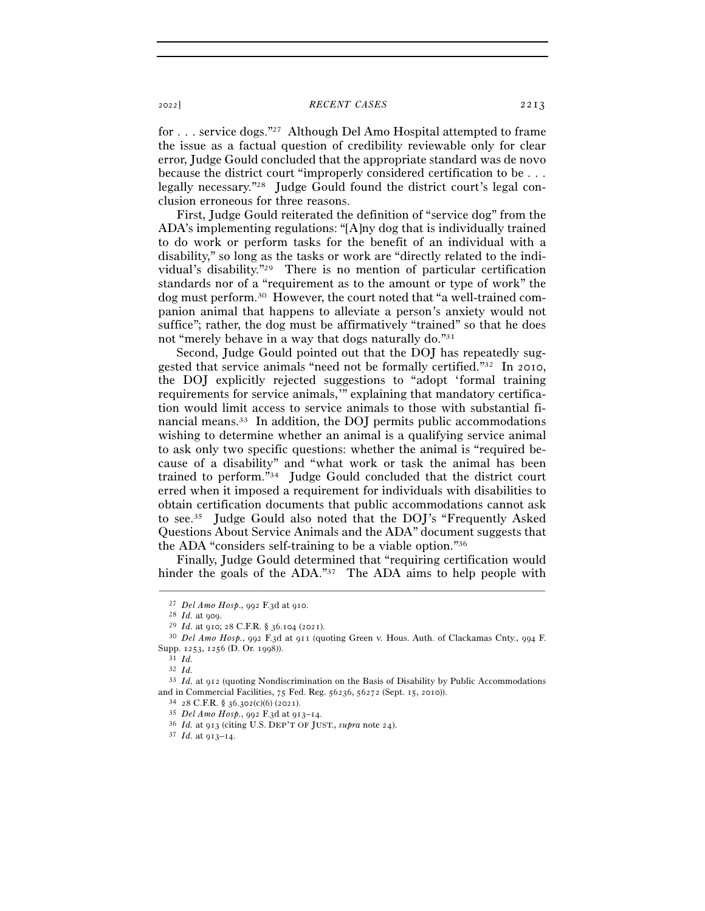## <sup>2022</sup>] *RECENT CASES* 2213

for . . . service dogs."27 Although Del Amo Hospital attempted to frame the issue as a factual question of credibility reviewable only for clear error, Judge Gould concluded that the appropriate standard was de novo because the district court "improperly considered certification to be . . . legally necessary."28 Judge Gould found the district court's legal conclusion erroneous for three reasons.

First, Judge Gould reiterated the definition of "service dog" from the ADA's implementing regulations: "[A]ny dog that is individually trained to do work or perform tasks for the benefit of an individual with a disability," so long as the tasks or work are "directly related to the individual's disability."29 There is no mention of particular certification standards nor of a "requirement as to the amount or type of work" the dog must perform.30 However, the court noted that "a well-trained companion animal that happens to alleviate a person's anxiety would not suffice"; rather, the dog must be affirmatively "trained" so that he does not "merely behave in a way that dogs naturally do."31

Second, Judge Gould pointed out that the DOJ has repeatedly suggested that service animals "need not be formally certified."32 In 2010, the DOJ explicitly rejected suggestions to "adopt 'formal training requirements for service animals,'" explaining that mandatory certification would limit access to service animals to those with substantial financial means.33 In addition, the DOJ permits public accommodations wishing to determine whether an animal is a qualifying service animal to ask only two specific questions: whether the animal is "required because of a disability" and "what work or task the animal has been trained to perform."34 Judge Gould concluded that the district court erred when it imposed a requirement for individuals with disabilities to obtain certification documents that public accommodations cannot ask to see.35 Judge Gould also noted that the DOJ's "Frequently Asked Questions About Service Animals and the ADA" document suggests that the ADA "considers self-training to be a viable option."36

Finally, Judge Gould determined that "requiring certification would hinder the goals of the ADA."<sup>37</sup> The ADA aims to help people with

–––––––––––––––––––––––––––––––––––––––––––––––––––––––––––––

<sup>27</sup> *Del Amo Hosp*., 992 F.3d at <sup>910</sup>. 28 *Id.* at <sup>909</sup>. 29 *Id.* at 910; 28 C.F.R. § 36.104 (<sup>2021</sup>). 30 *Del Amo Hosp.*, 992 F.3d at 911 (quoting Green v. Hous. Auth. of Clackamas Cnty., 994 F. Supp. 1253, 1256 (D. Or. <sup>1998</sup>)). 31 *Id.*

<sup>32</sup> *Id.*

<sup>33</sup> *Id.* at 912 (quoting Nondiscrimination on the Basis of Disability by Public Accommodations and in Commercial Facilities, 75 Fed. Reg. 56236, 56272 (Sept. 15, 2010)).<br>  $34$  28 C.F.R. § 36.302(c)(6) (2021).<br>  $35$  *Del Amo Hosp.*, 992 F.3d at 913–14.<br>  $36$  *Id.* at 913 (citing U.S. DEP'T OF JUST., *supra* note 24)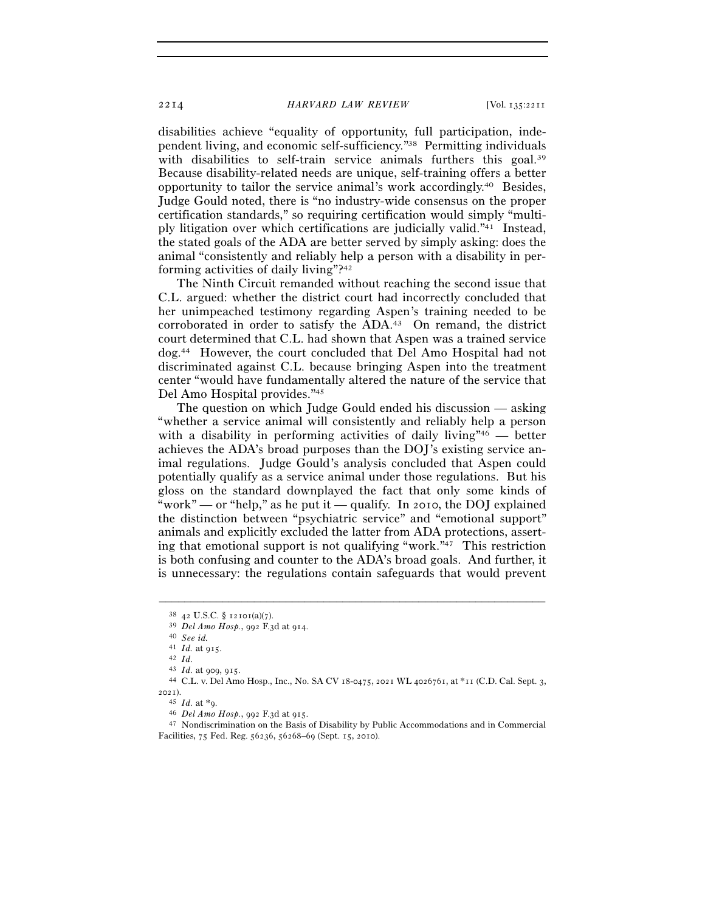2214 *HARVARD LAW REVIEW* [Vol. 135:<sup>2211</sup>

disabilities achieve "equality of opportunity, full participation, independent living, and economic self-sufficiency."38 Permitting individuals with disabilities to self-train service animals furthers this goal.<sup>39</sup> Because disability-related needs are unique, self-training offers a better opportunity to tailor the service animal's work accordingly.40 Besides, Judge Gould noted, there is "no industry-wide consensus on the proper certification standards," so requiring certification would simply "multiply litigation over which certifications are judicially valid."41 Instead, the stated goals of the ADA are better served by simply asking: does the animal "consistently and reliably help a person with a disability in performing activities of daily living"?42

The Ninth Circuit remanded without reaching the second issue that C.L. argued: whether the district court had incorrectly concluded that her unimpeached testimony regarding Aspen's training needed to be corroborated in order to satisfy the ADA.43 On remand, the district court determined that C.L. had shown that Aspen was a trained service dog.44 However, the court concluded that Del Amo Hospital had not discriminated against C.L. because bringing Aspen into the treatment center "would have fundamentally altered the nature of the service that Del Amo Hospital provides."45

The question on which Judge Gould ended his discussion — asking "whether a service animal will consistently and reliably help a person with a disability in performing activities of daily living"<sup>46</sup> — better achieves the ADA's broad purposes than the DOJ's existing service animal regulations. Judge Gould's analysis concluded that Aspen could potentially qualify as a service animal under those regulations. But his gloss on the standard downplayed the fact that only some kinds of "work" — or "help," as he put it — qualify. In 2010, the DOJ explained the distinction between "psychiatric service" and "emotional support" animals and explicitly excluded the latter from ADA protections, asserting that emotional support is not qualifying "work."47 This restriction is both confusing and counter to the ADA's broad goals. And further, it is unnecessary: the regulations contain safeguards that would prevent

–––––––––––––––––––––––––––––––––––––––––––––––––––––––––––––

<sup>38</sup> <sup>42</sup> U.S.C. § 12101(a)(<sup>7</sup>). 39 *Del Amo Hosp.*, 992 F.3d at <sup>914</sup>. 40 *See id.*

<sup>41</sup> *Id.* at <sup>915</sup>. 42 *Id.*

<sup>&</sup>lt;sup>44</sup> C.L. v. Del Amo Hosp., Inc., No. SA CV 18-0475, 2021 WL 4026761, at \*11 (C.D. Cal. Sept. 3, 2021).<br><sup>45</sup> *Id.* at \*9.

<sup>&</sup>lt;sup>46</sup> *Del Amo Hosp.*, 992 F.3d at 915.<br><sup>47</sup> Nondiscrimination on the Basis of Disability by Public Accommodations and in Commercial Facilities, 75 Fed. Reg. 56236, 56268–69 (Sept. 15, 2010).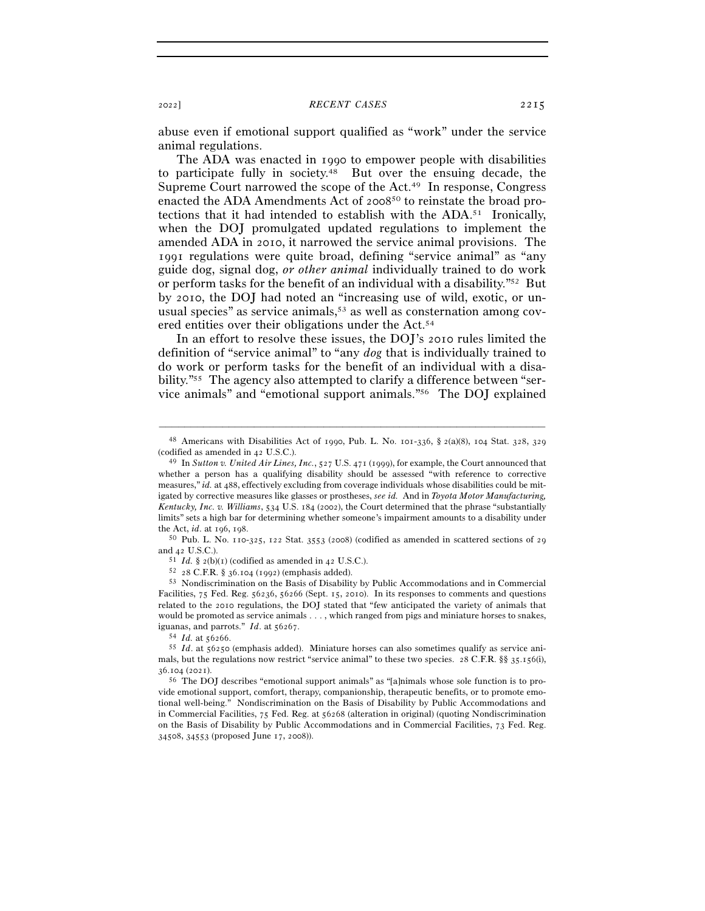abuse even if emotional support qualified as "work" under the service animal regulations.

The ADA was enacted in 1990 to empower people with disabilities to participate fully in society.48 But over the ensuing decade, the Supreme Court narrowed the scope of the Act.49 In response, Congress enacted the ADA Amendments Act of 200850 to reinstate the broad protections that it had intended to establish with the ADA.51 Ironically, when the DOJ promulgated updated regulations to implement the amended ADA in 2010, it narrowed the service animal provisions. The 1991 regulations were quite broad, defining "service animal" as "any guide dog, signal dog, *or other animal* individually trained to do work or perform tasks for the benefit of an individual with a disability."52 But by 2010, the DOJ had noted an "increasing use of wild, exotic, or unusual species" as service animals,  $53$  as well as consternation among covered entities over their obligations under the Act.54

In an effort to resolve these issues, the DOJ's 2010 rules limited the definition of "service animal" to "any *dog* that is individually trained to do work or perform tasks for the benefit of an individual with a disability."55 The agency also attempted to clarify a difference between "service animals" and "emotional support animals."56 The DOJ explained

<sup>–––––––––––––––––––––––––––––––––––––––––––––––––––––––––––––</sup> 48 Americans with Disabilities Act of 1990, Pub. L. No. 101-336, § 2(a)(8), 104 Stat. 328, 329

<sup>(</sup>codified as amended in 42 U.S.C.).  $^{49}$  In *Sutton v. United Air Lines, Inc.*, 527 U.S. 471 (1999), for example, the Court announced that whether a person has a qualifying disability should be assessed "with reference to corrective measures," *id.* at 488, effectively excluding from coverage individuals whose disabilities could be mitigated by corrective measures like glasses or prostheses, *see id.* And in *Toyota Motor Manufacturing, Kentucky, Inc. v. Williams*, 534 U.S. 184 (2002), the Court determined that the phrase "substantially limits" sets a high bar for determining whether someone's impairment amounts to a disability under the Act, *id*. at 196, 198.<br><sup>50</sup> Pub. L. No. 110-325, 122 Stat. 3553 (2008) (codified as amended in scattered sections of 29

and 42 U.S.C.).<br><sup>51</sup> *Id.* § 2(b)(1) (codified as amended in 42 U.S.C.).<br><sup>52</sup> 28 C.F.R. § 36.104 (1992) (emphasis added).<br><sup>53</sup> Nondiscrimination on the Basis of Disability by Public Accommodations and in Commercial

Facilities, 75 Fed. Reg. 56236, 56266 (Sept. 15, 2010). In its responses to comments and questions related to the 2010 regulations, the DOJ stated that "few anticipated the variety of animals that would be promoted as service animals . . . , which ranged from pigs and miniature horses to snakes, iguanas, and parrots." *Id.* at 56267.<br><sup>54</sup> *Id.* at 56256.<br><sup>55</sup> *Id.* at 56250 (emphasis added). Miniature horses can also sometimes qualify as service ani-

mals, but the regulations now restrict "service animal" to these two species. 28 C.F.R. §§ 35.156(i),  $36.104$  (2021).<br><sup>56</sup> The DOJ describes "emotional support animals" as "[a]nimals whose sole function is to pro-

vide emotional support, comfort, therapy, companionship, therapeutic benefits, or to promote emotional well-being." Nondiscrimination on the Basis of Disability by Public Accommodations and in Commercial Facilities, 75 Fed. Reg. at 56268 (alteration in original) (quoting Nondiscrimination on the Basis of Disability by Public Accommodations and in Commercial Facilities, 73 Fed. Reg. 34508, 34553 (proposed June 17, 2008)).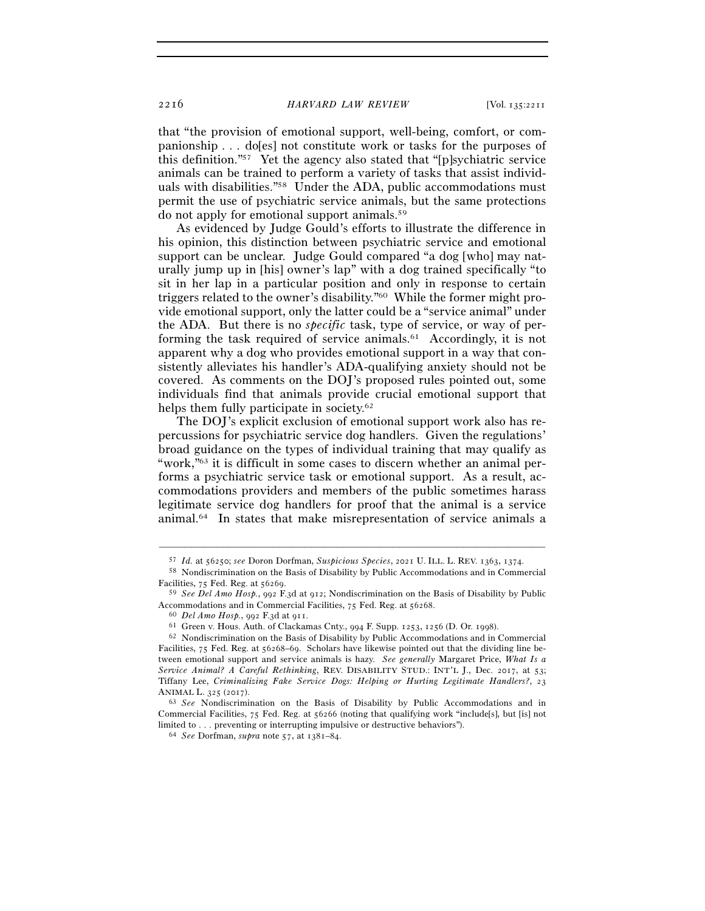2216 *HARVARD LAW REVIEW* [Vol. 135:<sup>2211</sup>

that "the provision of emotional support, well-being, comfort, or companionship . . . do[es] not constitute work or tasks for the purposes of this definition."57 Yet the agency also stated that "[p]sychiatric service animals can be trained to perform a variety of tasks that assist individuals with disabilities."58 Under the ADA, public accommodations must permit the use of psychiatric service animals, but the same protections do not apply for emotional support animals.59

As evidenced by Judge Gould's efforts to illustrate the difference in his opinion, this distinction between psychiatric service and emotional support can be unclear. Judge Gould compared "a dog [who] may naturally jump up in [his] owner's lap" with a dog trained specifically "to sit in her lap in a particular position and only in response to certain triggers related to the owner's disability."60 While the former might provide emotional support, only the latter could be a "service animal" under the ADA. But there is no *specific* task, type of service, or way of performing the task required of service animals.61 Accordingly, it is not apparent why a dog who provides emotional support in a way that consistently alleviates his handler's ADA-qualifying anxiety should not be covered. As comments on the DOJ's proposed rules pointed out, some individuals find that animals provide crucial emotional support that helps them fully participate in society.<sup>62</sup>

The DOJ's explicit exclusion of emotional support work also has repercussions for psychiatric service dog handlers. Given the regulations' broad guidance on the types of individual training that may qualify as "work,"63 it is difficult in some cases to discern whether an animal performs a psychiatric service task or emotional support. As a result, accommodations providers and members of the public sometimes harass legitimate service dog handlers for proof that the animal is a service animal.64 In states that make misrepresentation of service animals a

<sup>–––––––––––––––––––––––––––––––––––––––––––––––––––––––––––––</sup>

<sup>57</sup> *Id.* at 56250; *see* Doron Dorfman, *Suspicious Species*, 2021 U. ILL. L. REV. 1363, <sup>1374</sup>. 58 Nondiscrimination on the Basis of Disability by Public Accommodations and in Commercial Facilities, 75 Fed. Reg. at <sup>56269</sup>. 59 *See Del Amo Hosp.*, 992 F.3d at 912; Nondiscrimination on the Basis of Disability by Public

Accommodations and in Commercial Facilities, 75 Fed. Reg. at 56268.<br>
<sup>60</sup> *Del Amo Hosp.*, 992 F.3d at 911.<br>
<sup>61</sup> Green v. Hous. Auth. of Clackamas Cnty., 994 F. Supp. 1253, 1256 (D. Or. 1998).<br>
<sup>62</sup> Nondiscrimination on

Facilities, 75 Fed. Reg. at 56268–69. Scholars have likewise pointed out that the dividing line between emotional support and service animals is hazy. *See generally* Margaret Price, *What Is a Service Animal? A Careful Rethinking*, REV. DISABILITY STUD.: INT'L J., Dec. 2017, at 53; Tiffany Lee, *Criminalizing Fake Service Dogs: Helping or Hurting Legitimate Handlers?*, 23 ANIMAL L. 325 (<sup>2017</sup>). 63 *See* Nondiscrimination on the Basis of Disability by Public Accommodations and in

Commercial Facilities, 75 Fed. Reg. at 56266 (noting that qualifying work "include[s], but [is] not limited to . . . preventing or interrupting impulsive or destructive behaviors"). 64 *See* Dorfman, *supra* note 57, at 1381–84.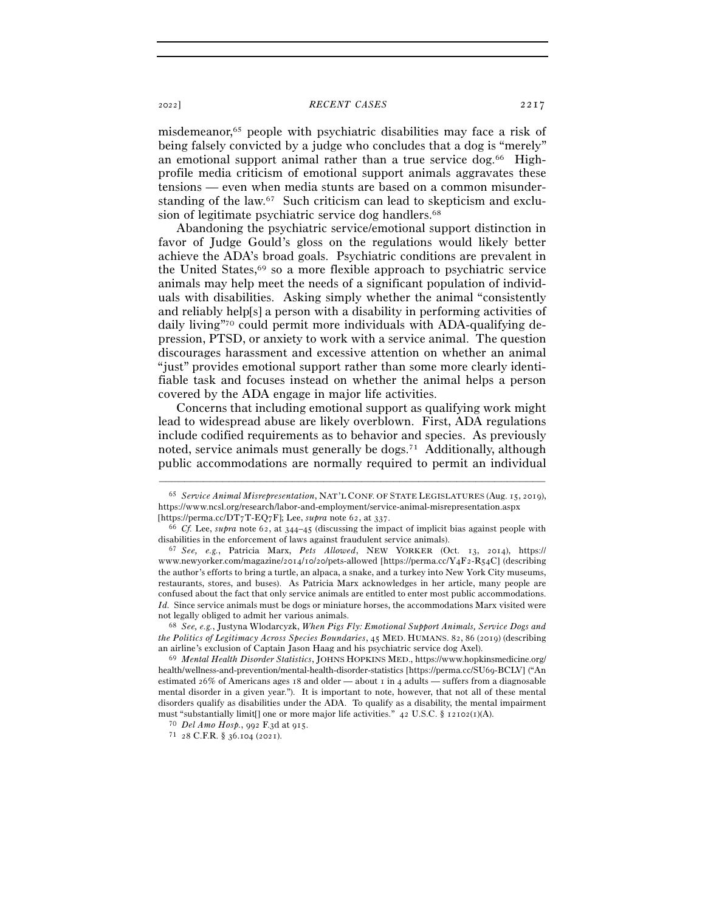## <sup>2022</sup>] *RECENT CASES* 2217

misdemeanor,65 people with psychiatric disabilities may face a risk of being falsely convicted by a judge who concludes that a dog is "merely" an emotional support animal rather than a true service dog.66 Highprofile media criticism of emotional support animals aggravates these tensions — even when media stunts are based on a common misunderstanding of the law.67 Such criticism can lead to skepticism and exclusion of legitimate psychiatric service dog handlers.<sup>68</sup>

Abandoning the psychiatric service/emotional support distinction in favor of Judge Gould's gloss on the regulations would likely better achieve the ADA's broad goals. Psychiatric conditions are prevalent in the United States,  $69$  so a more flexible approach to psychiatric service animals may help meet the needs of a significant population of individuals with disabilities. Asking simply whether the animal "consistently and reliably help[s] a person with a disability in performing activities of daily living"70 could permit more individuals with ADA-qualifying depression, PTSD, or anxiety to work with a service animal. The question discourages harassment and excessive attention on whether an animal "just" provides emotional support rather than some more clearly identifiable task and focuses instead on whether the animal helps a person covered by the ADA engage in major life activities.

Concerns that including emotional support as qualifying work might lead to widespread abuse are likely overblown. First, ADA regulations include codified requirements as to behavior and species. As previously noted, service animals must generally be dogs.<sup>71</sup> Additionally, although public accommodations are normally required to permit an individual

–––––––––––––––––––––––––––––––––––––––––––––––––––––––––––––

*the Politics of Legitimacy Across Species Boundaries*, 45 MED. HUMANS. 82, 86 (2019) (describing an airline's exclusion of Captain Jason Haag and his psychiatric service dog Axel). 69 *Mental Health Disorder Statistics*, JOHNS HOPKINS MED., https://www.hopkinsmedicine.org/

<sup>65</sup> *Service Animal Misrepresentation*, NAT'L CONF. OF STATE LEGISLATURES (Aug. 15, 2019), https://www.ncsl.org/research/labor-and-employment/service-animal-misrepresentation.aspx [https://perma.cc/DT7T-EQ7F]; Lee, *supra* note 62, at 337. 66 *Cf.* Lee, *supra* note 62, at 344–45 (discussing the impact of implicit bias against people with

disabilities in the enforcement of laws against fraudulent service animals). 67 *See, e.g.*, Patricia Marx, *Pets Allowed*, NEW YORKER (Oct. 13, 2014), https://

www.newyorker.com/magazine/2014/10/20/pets-allowed [https://perma.cc/Y4F2-R54C] (describing the author's efforts to bring a turtle, an alpaca, a snake, and a turkey into New York City museums, restaurants, stores, and buses). As Patricia Marx acknowledges in her article, many people are confused about the fact that only service animals are entitled to enter most public accommodations. *Id.* Since service animals must be dogs or miniature horses, the accommodations Marx visited were not legally obliged to admit her various animals. 68 *See, e.g.*, Justyna Wlodarcyzk, *When Pigs Fly: Emotional Support Animals, Service Dogs and* 

health/wellness-and-prevention/mental-health-disorder-statistics [https://perma.cc/SU69-BCLV] ("An estimated 26% of Americans ages 18 and older — about 1 in 4 adults — suffers from a diagnosable mental disorder in a given year."). It is important to note, however, that not all of these mental disorders qualify as disabilities under the ADA. To qualify as a disability, the mental impairment must "substantially limit[] one or more major life activities." 42 U.S.C. § 12102(<sup>1</sup>)(A). 70 *Del Amo Hosp.*, 992 F.3d at <sup>915</sup>. 71 <sup>28</sup> C.F.R. § 36.104 (2021).